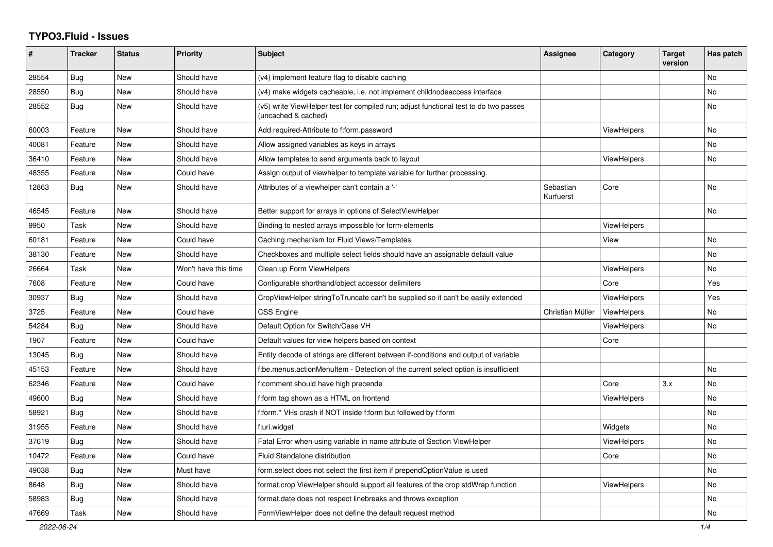## **TYPO3.Fluid - Issues**

| #     | <b>Tracker</b> | <b>Status</b> | <b>Priority</b>      | <b>Subject</b>                                                                                              | Assignee               | Category           | <b>Target</b><br>version | Has patch |
|-------|----------------|---------------|----------------------|-------------------------------------------------------------------------------------------------------------|------------------------|--------------------|--------------------------|-----------|
| 28554 | <b>Bug</b>     | New           | Should have          | (v4) implement feature flag to disable caching                                                              |                        |                    |                          | <b>No</b> |
| 28550 | <b>Bug</b>     | New           | Should have          | (v4) make widgets cacheable, i.e. not implement childnodeaccess interface                                   |                        |                    |                          | No        |
| 28552 | Bug            | New           | Should have          | (v5) write ViewHelper test for compiled run; adjust functional test to do two passes<br>(uncached & cached) |                        |                    |                          | No        |
| 60003 | Feature        | <b>New</b>    | Should have          | Add required-Attribute to f:form.password                                                                   |                        | <b>ViewHelpers</b> |                          | No        |
| 40081 | Feature        | New           | Should have          | Allow assigned variables as keys in arrays                                                                  |                        |                    |                          | <b>No</b> |
| 36410 | Feature        | New           | Should have          | Allow templates to send arguments back to layout                                                            |                        | ViewHelpers        |                          | No        |
| 48355 | Feature        | New           | Could have           | Assign output of viewhelper to template variable for further processing.                                    |                        |                    |                          |           |
| 12863 | Bug            | New           | Should have          | Attributes of a viewhelper can't contain a '-'                                                              | Sebastian<br>Kurfuerst | Core               |                          | No        |
| 46545 | Feature        | New           | Should have          | Better support for arrays in options of SelectViewHelper                                                    |                        |                    |                          | No        |
| 9950  | Task           | New           | Should have          | Binding to nested arrays impossible for form-elements                                                       |                        | ViewHelpers        |                          |           |
| 60181 | Feature        | New           | Could have           | Caching mechanism for Fluid Views/Templates                                                                 |                        | View               |                          | No        |
| 38130 | Feature        | New           | Should have          | Checkboxes and multiple select fields should have an assignable default value                               |                        |                    |                          | No        |
| 26664 | Task           | <b>New</b>    | Won't have this time | Clean up Form ViewHelpers                                                                                   |                        | <b>ViewHelpers</b> |                          | No        |
| 7608  | Feature        | New           | Could have           | Configurable shorthand/object accessor delimiters                                                           |                        | Core               |                          | Yes       |
| 30937 | Bug            | New           | Should have          | CropViewHelper stringToTruncate can't be supplied so it can't be easily extended                            |                        | ViewHelpers        |                          | Yes       |
| 3725  | Feature        | New           | Could have           | <b>CSS Engine</b>                                                                                           | Christian Müller       | <b>ViewHelpers</b> |                          | <b>No</b> |
| 54284 | Bug            | New           | Should have          | Default Option for Switch/Case VH                                                                           |                        | <b>ViewHelpers</b> |                          | <b>No</b> |
| 1907  | Feature        | New           | Could have           | Default values for view helpers based on context                                                            |                        | Core               |                          |           |
| 13045 | Bug            | New           | Should have          | Entity decode of strings are different between if-conditions and output of variable                         |                        |                    |                          |           |
| 45153 | Feature        | <b>New</b>    | Should have          | f:be.menus.actionMenuItem - Detection of the current select option is insufficient                          |                        |                    |                          | No        |
| 62346 | Feature        | New           | Could have           | f:comment should have high precende                                                                         |                        | Core               | 3.x                      | No        |
| 49600 | Bug            | <b>New</b>    | Should have          | f:form tag shown as a HTML on frontend                                                                      |                        | ViewHelpers        |                          | No        |
| 58921 | Bug            | New           | Should have          | f:form.* VHs crash if NOT inside f:form but followed by f:form                                              |                        |                    |                          | <b>No</b> |
| 31955 | Feature        | New           | Should have          | f:uri.widget                                                                                                |                        | Widgets            |                          | <b>No</b> |
| 37619 | Bug            | New           | Should have          | Fatal Error when using variable in name attribute of Section ViewHelper                                     |                        | <b>ViewHelpers</b> |                          | No.       |
| 10472 | Feature        | New           | Could have           | Fluid Standalone distribution                                                                               |                        | Core               |                          | No        |
| 49038 | <b>Bug</b>     | New           | Must have            | form select does not select the first item if prependOptionValue is used                                    |                        |                    |                          | No        |
| 8648  | Bug            | New           | Should have          | format.crop ViewHelper should support all features of the crop stdWrap function                             |                        | ViewHelpers        |                          | No        |
| 58983 | Bug            | New           | Should have          | format.date does not respect linebreaks and throws exception                                                |                        |                    |                          | No        |
| 47669 | Task           | New           | Should have          | FormViewHelper does not define the default request method                                                   |                        |                    |                          | No        |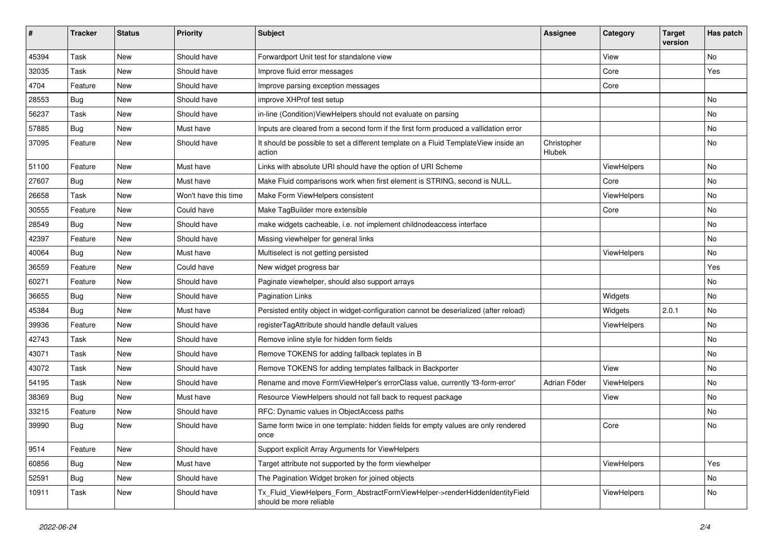| $\vert$ # | <b>Tracker</b> | <b>Status</b> | <b>Priority</b>      | <b>Subject</b>                                                                                         | <b>Assignee</b>       | Category    | <b>Target</b><br>version | Has patch |
|-----------|----------------|---------------|----------------------|--------------------------------------------------------------------------------------------------------|-----------------------|-------------|--------------------------|-----------|
| 45394     | Task           | New           | Should have          | Forwardport Unit test for standalone view                                                              |                       | View        |                          | <b>No</b> |
| 32035     | Task           | New           | Should have          | Improve fluid error messages                                                                           |                       | Core        |                          | Yes       |
| 4704      | Feature        | New           | Should have          | Improve parsing exception messages                                                                     |                       | Core        |                          |           |
| 28553     | Bug            | New           | Should have          | improve XHProf test setup                                                                              |                       |             |                          | No        |
| 56237     | Task           | New           | Should have          | in-line (Condition) View Helpers should not evaluate on parsing                                        |                       |             |                          | No        |
| 57885     | Bug            | New           | Must have            | Inputs are cleared from a second form if the first form produced a vallidation error                   |                       |             |                          | No        |
| 37095     | Feature        | New           | Should have          | It should be possible to set a different template on a Fluid TemplateView inside an<br>action          | Christopher<br>Hlubek |             |                          | No        |
| 51100     | Feature        | New           | Must have            | Links with absolute URI should have the option of URI Scheme                                           |                       | ViewHelpers |                          | No        |
| 27607     | <b>Bug</b>     | New           | Must have            | Make Fluid comparisons work when first element is STRING, second is NULL.                              |                       | Core        |                          | No        |
| 26658     | Task           | <b>New</b>    | Won't have this time | Make Form ViewHelpers consistent                                                                       |                       | ViewHelpers |                          | No        |
| 30555     | Feature        | New           | Could have           | Make TagBuilder more extensible                                                                        |                       | Core        |                          | No        |
| 28549     | Bug            | New           | Should have          | make widgets cacheable, i.e. not implement childnodeaccess interface                                   |                       |             |                          | No        |
| 42397     | Feature        | New           | Should have          | Missing viewhelper for general links                                                                   |                       |             |                          | No        |
| 40064     | <b>Bug</b>     | New           | Must have            | Multiselect is not getting persisted                                                                   |                       | ViewHelpers |                          | No        |
| 36559     | Feature        | New           | Could have           | New widget progress bar                                                                                |                       |             |                          | Yes       |
| 60271     | Feature        | New           | Should have          | Paginate viewhelper, should also support arrays                                                        |                       |             |                          | No        |
| 36655     | Bug            | New           | Should have          | <b>Pagination Links</b>                                                                                |                       | Widgets     |                          | No        |
| 45384     | Bug            | New           | Must have            | Persisted entity object in widget-configuration cannot be deserialized (after reload)                  |                       | Widgets     | 2.0.1                    | No        |
| 39936     | Feature        | New           | Should have          | registerTagAttribute should handle default values                                                      |                       | ViewHelpers |                          | No        |
| 42743     | Task           | New           | Should have          | Remove inline style for hidden form fields                                                             |                       |             |                          | No        |
| 43071     | Task           | New           | Should have          | Remove TOKENS for adding fallback teplates in B                                                        |                       |             |                          | No        |
| 43072     | Task           | New           | Should have          | Remove TOKENS for adding templates fallback in Backporter                                              |                       | View        |                          | No        |
| 54195     | Task           | <b>New</b>    | Should have          | Rename and move FormViewHelper's errorClass value, currently 'f3-form-error'                           | Adrian Föder          | ViewHelpers |                          | No        |
| 38369     | Bug            | New           | Must have            | Resource ViewHelpers should not fall back to request package                                           |                       | View        |                          | No        |
| 33215     | Feature        | New           | Should have          | RFC: Dynamic values in ObjectAccess paths                                                              |                       |             |                          | No        |
| 39990     | Bug            | New           | Should have          | Same form twice in one template: hidden fields for empty values are only rendered<br>once              |                       | Core        |                          | No        |
| 9514      | Feature        | New           | Should have          | Support explicit Array Arguments for ViewHelpers                                                       |                       |             |                          |           |
| 60856     | Bug            | New           | Must have            | Target attribute not supported by the form viewhelper                                                  |                       | ViewHelpers |                          | Yes       |
| 52591     | <b>Bug</b>     | New           | Should have          | The Pagination Widget broken for joined objects                                                        |                       |             |                          | No        |
| 10911     | Task           | New           | Should have          | Tx_Fluid_ViewHelpers_Form_AbstractFormViewHelper->renderHiddenIdentityField<br>should be more reliable |                       | ViewHelpers |                          | No        |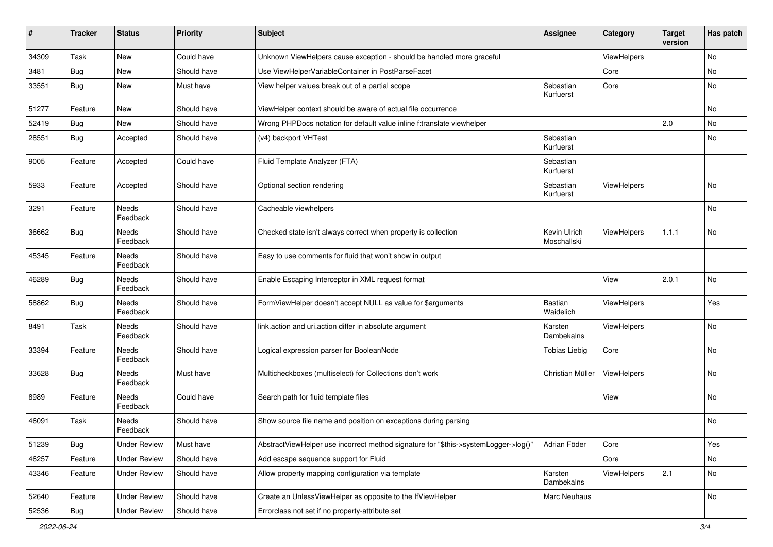| $\pmb{\sharp}$ | Tracker    | <b>Status</b>            | <b>Priority</b> | <b>Subject</b>                                                                      | <b>Assignee</b>             | Category    | <b>Target</b><br>version | Has patch |
|----------------|------------|--------------------------|-----------------|-------------------------------------------------------------------------------------|-----------------------------|-------------|--------------------------|-----------|
| 34309          | Task       | New                      | Could have      | Unknown ViewHelpers cause exception - should be handled more graceful               |                             | ViewHelpers |                          | No        |
| 3481           | Bug        | New                      | Should have     | Use ViewHelperVariableContainer in PostParseFacet                                   |                             | Core        |                          | No        |
| 33551          | Bug        | New                      | Must have       | View helper values break out of a partial scope                                     | Sebastian<br>Kurfuerst      | Core        |                          | No        |
| 51277          | Feature    | <b>New</b>               | Should have     | ViewHelper context should be aware of actual file occurrence                        |                             |             |                          | <b>No</b> |
| 52419          | Bug        | New                      | Should have     | Wrong PHPDocs notation for default value inline f:translate viewhelper              |                             |             | 2.0                      | <b>No</b> |
| 28551          | Bug        | Accepted                 | Should have     | (v4) backport VHTest                                                                | Sebastian<br>Kurfuerst      |             |                          | No        |
| 9005           | Feature    | Accepted                 | Could have      | Fluid Template Analyzer (FTA)                                                       | Sebastian<br>Kurfuerst      |             |                          |           |
| 5933           | Feature    | Accepted                 | Should have     | Optional section rendering                                                          | Sebastian<br>Kurfuerst      | ViewHelpers |                          | <b>No</b> |
| 3291           | Feature    | Needs<br>Feedback        | Should have     | Cacheable viewhelpers                                                               |                             |             |                          | No        |
| 36662          | Bug        | <b>Needs</b><br>Feedback | Should have     | Checked state isn't always correct when property is collection                      | Kevin Ulrich<br>Moschallski | ViewHelpers | 1.1.1                    | <b>No</b> |
| 45345          | Feature    | <b>Needs</b><br>Feedback | Should have     | Easy to use comments for fluid that won't show in output                            |                             |             |                          |           |
| 46289          | Bug        | Needs<br>Feedback        | Should have     | Enable Escaping Interceptor in XML request format                                   |                             | View        | 2.0.1                    | No        |
| 58862          | Bug        | Needs<br>Feedback        | Should have     | FormViewHelper doesn't accept NULL as value for \$arguments                         | Bastian<br>Waidelich        | ViewHelpers |                          | Yes       |
| 8491           | Task       | Needs<br>Feedback        | Should have     | link.action and uri.action differ in absolute argument                              | Karsten<br>Dambekalns       | ViewHelpers |                          | No        |
| 33394          | Feature    | Needs<br>Feedback        | Should have     | Logical expression parser for BooleanNode                                           | <b>Tobias Liebig</b>        | Core        |                          | No        |
| 33628          | Bug        | <b>Needs</b><br>Feedback | Must have       | Multicheckboxes (multiselect) for Collections don't work                            | Christian Müller            | ViewHelpers |                          | No        |
| 8989           | Feature    | <b>Needs</b><br>Feedback | Could have      | Search path for fluid template files                                                |                             | View        |                          | No        |
| 46091          | Task       | <b>Needs</b><br>Feedback | Should have     | Show source file name and position on exceptions during parsing                     |                             |             |                          | No        |
| 51239          | Bug        | <b>Under Review</b>      | Must have       | AbstractViewHelper use incorrect method signature for "\$this->systemLogger->log()" | Adrian Föder                | Core        |                          | Yes       |
| 46257          | Feature    | <b>Under Review</b>      | Should have     | Add escape sequence support for Fluid                                               |                             | Core        |                          | No        |
| 43346          | Feature    | <b>Under Review</b>      | Should have     | Allow property mapping configuration via template                                   | Karsten<br>Dambekalns       | ViewHelpers | 2.1                      | No        |
| 52640          | Feature    | <b>Under Review</b>      | Should have     | Create an UnlessViewHelper as opposite to the IfViewHelper                          | Marc Neuhaus                |             |                          | No        |
| 52536          | <b>Bug</b> | <b>Under Review</b>      | Should have     | Errorclass not set if no property-attribute set                                     |                             |             |                          |           |